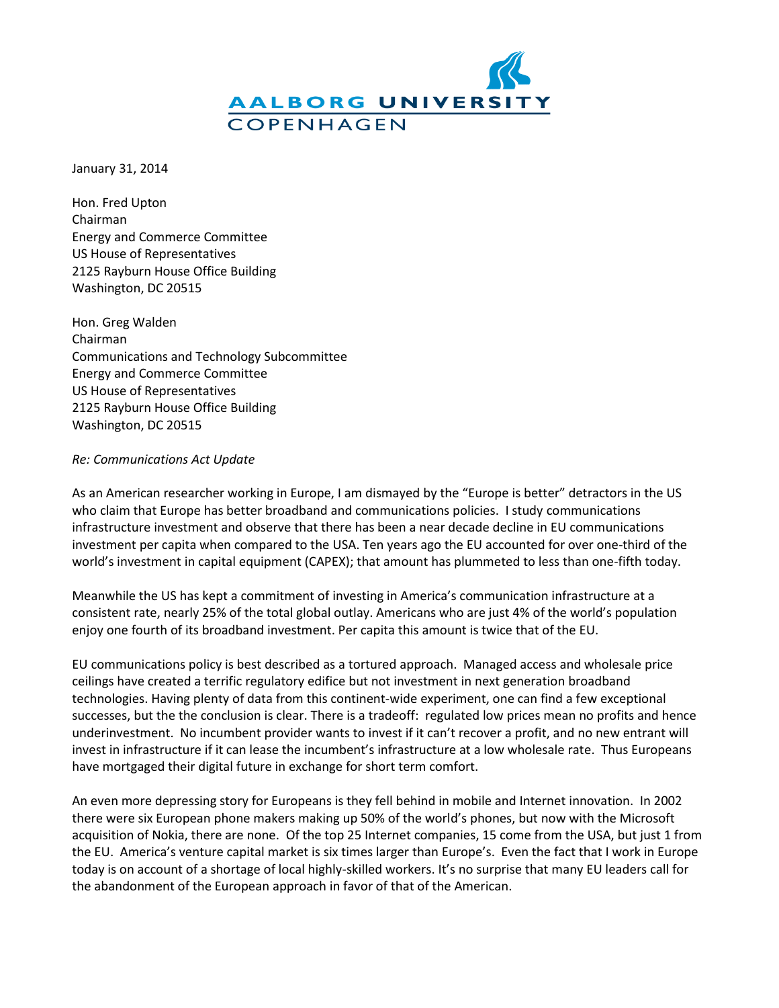

January 31, 2014

Hon. Fred Upton Chairman Energy and Commerce Committee US House of Representatives 2125 Rayburn House Office Building Washington, DC 20515

Hon. Greg Walden Chairman Communications and Technology Subcommittee Energy and Commerce Committee US House of Representatives 2125 Rayburn House Office Building Washington, DC 20515

## *Re: Communications Act Update*

As an American researcher working in Europe, I am dismayed by the "Europe is better" detractors in the US who claim that Europe has better broadband and communications policies. I study communications infrastructure investment and observe that there has been a near decade decline in EU communications investment per capita when compared to the USA. Ten years ago the EU accounted for over one-third of the world's investment in capital equipment (CAPEX); that amount has plummeted to less than one-fifth today.

Meanwhile the US has kept a commitment of investing in America's communication infrastructure at a consistent rate, nearly 25% of the total global outlay. Americans who are just 4% of the world's population enjoy one fourth of its broadband investment. Per capita this amount is twice that of the EU.

EU communications policy is best described as a tortured approach. Managed access and wholesale price ceilings have created a terrific regulatory edifice but not investment in next generation broadband technologies. Having plenty of data from this continent-wide experiment, one can find a few exceptional successes, but the the conclusion is clear. There is a tradeoff: regulated low prices mean no profits and hence underinvestment. No incumbent provider wants to invest if it can't recover a profit, and no new entrant will invest in infrastructure if it can lease the incumbent's infrastructure at a low wholesale rate. Thus Europeans have mortgaged their digital future in exchange for short term comfort.

An even more depressing story for Europeans is they fell behind in mobile and Internet innovation. In 2002 there were six European phone makers making up 50% of the world's phones, but now with the Microsoft acquisition of Nokia, there are none. Of the top 25 Internet companies, 15 come from the USA, but just 1 from the EU. America's venture capital market is six times larger than Europe's. Even the fact that I work in Europe today is on account of a shortage of local highly-skilled workers. It's no surprise that many EU leaders call for the abandonment of the European approach in favor of that of the American.